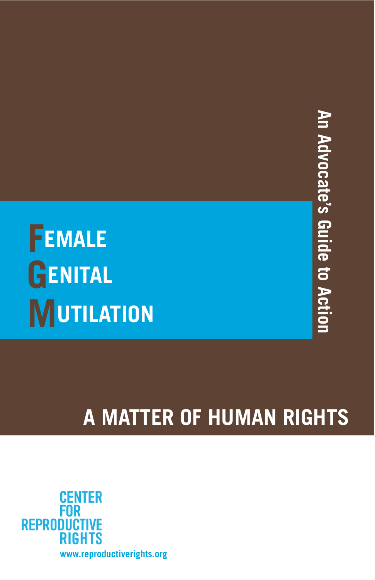# An Advocate's Guide to Action **An Advocate's Guide to Action**

# **MUTILATION GENITAL FEMALE**

# **A MATTER OF HUMAN RIGHTS**

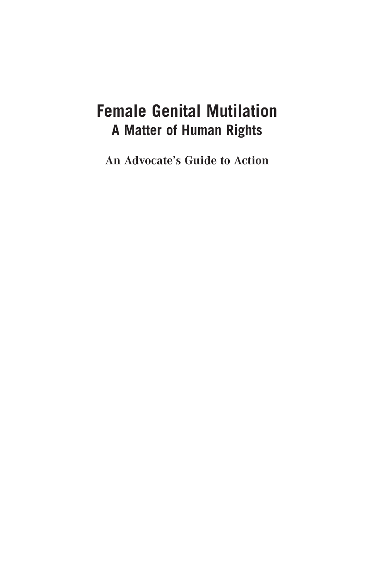# **Female Genital Mutilation A Matter of Human Rights**

**An Advocate's Guide to Action**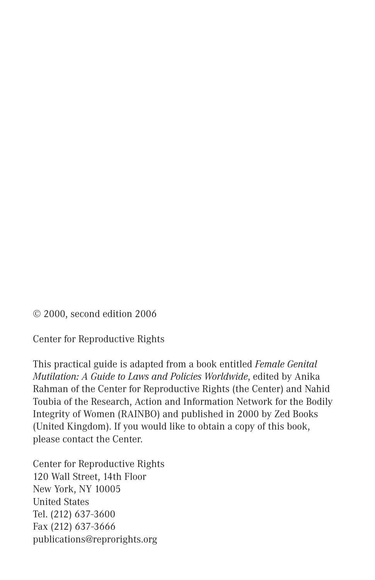© 2000, second edition 2006

Center for Reproductive Rights

This practical guide is adapted from a book entitled *Female Genital Mutilation: A Guide to Laws and Policies Worldwide*, edited by Anika Rahman of the Center for Reproductive Rights (the Center) and Nahid Toubia of the Research, Action and Information Network for the Bodily Integrity of Women (RAINBO) and published in 2000 by Zed Books (United Kingdom). If you would like to obtain a copy of this book, please contact the Center.

Center for Reproductive Rights 120 Wall Street, 14th Floor New York, NY 10005 United States Tel. (212) 637-3600 Fax (212) 637-3666 publications@reprorights.org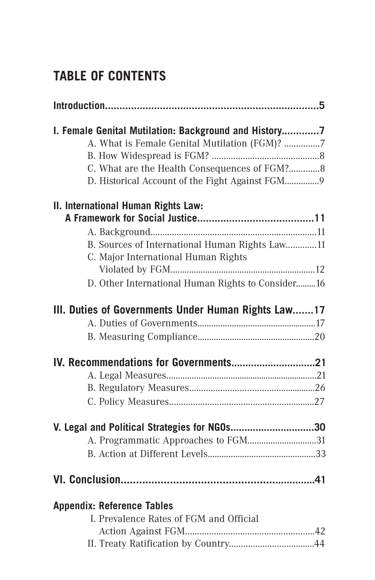# **TABLE OF CONTENTS**

| I. Female Genital Mutilation: Background and History |
|------------------------------------------------------|
| A. What is Female Genital Mutilation (FGM)? 7        |
|                                                      |
| C. What are the Health Consequences of FGM?8         |
| D. Historical Account of the Fight Against FGM9      |
| II. International Human Rights Law:                  |
|                                                      |
|                                                      |
| B. Sources of International Human Rights Law11       |
| C. Major International Human Rights                  |
|                                                      |
| D. Other International Human Rights to Consider16    |
| III. Duties of Governments Under Human Rights Law17  |
|                                                      |
|                                                      |
|                                                      |
|                                                      |
|                                                      |
|                                                      |
| V. Legal and Political Strategies for NGOs30         |
| A. Programmatic Approaches to FGM31                  |
|                                                      |
|                                                      |
| <b>Appendix: Reference Tables</b>                    |
| I. Prevalence Rates of FGM and Official              |
|                                                      |
|                                                      |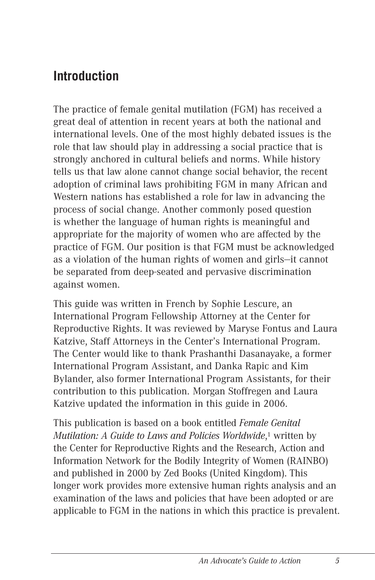# **Introduction**

The practice of female genital mutilation (FGM) has received a great deal of attention in recent years at both the national and international levels. One of the most highly debated issues is the role that law should play in addressing a social practice that is strongly anchored in cultural beliefs and norms. While history tells us that law alone cannot change social behavior, the recent adoption of criminal laws prohibiting FGM in many African and Western nations has established a role for law in advancing the process of social change. Another commonly posed question is whether the language of human rights is meaningful and appropriate for the majority of women who are affected by the practice of FGM. Our position is that FGM must be acknowledged as a violation of the human rights of women and girls—it cannot be separated from deep-seated and pervasive discrimination against women.

This guide was written in French by Sophie Lescure, an International Program Fellowship Attorney at the Center for Reproductive Rights. It was reviewed by Maryse Fontus and Laura Katzive, Staff Attorneys in the Center's International Program. The Center would like to thank Prashanthi Dasanayake, a former International Program Assistant, and Danka Rapic and Kim Bylander, also former International Program Assistants, for their contribution to this publication. Morgan Stoffregen and Laura Katzive updated the information in this guide in 2006.

This publication is based on a book entitled *Female Genital Mutilation: A Guide to Laws and Policies Worldwide*,1 written by the Center for Reproductive Rights and the Research, Action and Information Network for the Bodily Integrity of Women (RAINBO) and published in 2000 by Zed Books (United Kingdom). This longer work provides more extensive human rights analysis and an examination of the laws and policies that have been adopted or are applicable to FGM in the nations in which this practice is prevalent.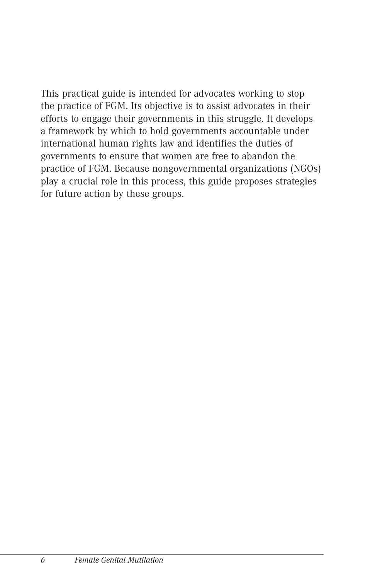This practical guide is intended for advocates working to stop the practice of FGM. Its objective is to assist advocates in their efforts to engage their governments in this struggle. It develops a framework by which to hold governments accountable under international human rights law and identifies the duties of governments to ensure that women are free to abandon the practice of FGM. Because nongovernmental organizations (NGOs) play a crucial role in this process, this guide proposes strategies for future action by these groups.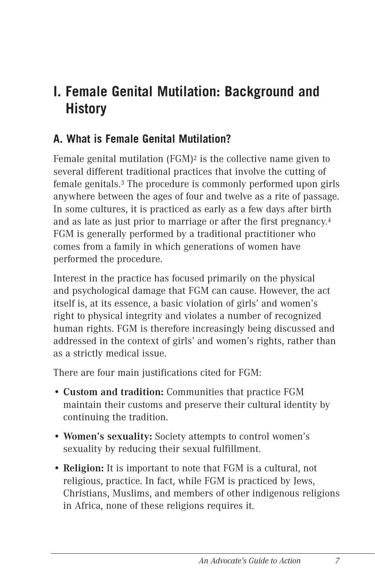# **I. Female Genital Mutilation: Background and History**

# **A. What is Female Genital Mutilation?**

Female genital mutilation (FGM)2 is the collective name given to several different traditional practices that involve the cutting of female genitals.3 The procedure is commonly performed upon girls anywhere between the ages of four and twelve as a rite of passage. In some cultures, it is practiced as early as a few days after birth and as late as just prior to marriage or after the first pregnancy.4 FGM is generally performed by a traditional practitioner who comes from a family in which generations of women have performed the procedure.

Interest in the practice has focused primarily on the physical and psychological damage that FGM can cause. However, the act itself is, at its essence, a basic violation of girls' and women's right to physical integrity and violates a number of recognized human rights. FGM is therefore increasingly being discussed and addressed in the context of girls' and women's rights, rather than as a strictly medical issue.

There are four main justifications cited for FGM:

- **Custom and tradition:** Communities that practice FGM maintain their customs and preserve their cultural identity by continuing the tradition.
- **Women's sexuality:** Society attempts to control women's sexuality by reducing their sexual fulfillment.
- **Religion:** It is important to note that FGM is a cultural, not religious, practice. In fact, while FGM is practiced by Jews, Christians, Muslims, and members of other indigenous religions in Africa, none of these religions requires it.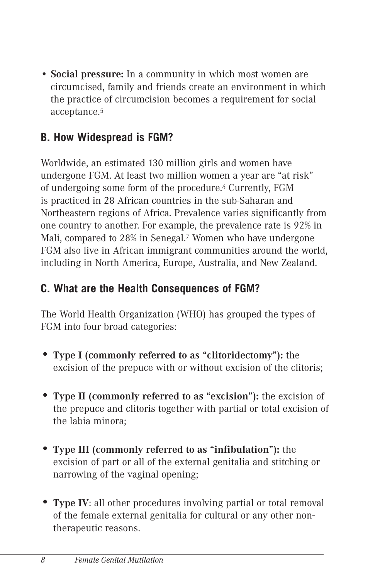• **Social pressure:** In a community in which most women are circumcised, family and friends create an environment in which the practice of circumcision becomes a requirement for social acceptance.5

# **B. How Widespread is FGM?**

Worldwide, an estimated 130 million girls and women have undergone FGM. At least two million women a year are "at risk" of undergoing some form of the procedure.6 Currently, FGM is practiced in 28 African countries in the sub-Saharan and Northeastern regions of Africa. Prevalence varies significantly from one country to another. For example, the prevalence rate is 92% in Mali, compared to 28% in Senegal.7 Women who have undergone FGM also live in African immigrant communities around the world, including in North America, Europe, Australia, and New Zealand.

# **C. What are the Health Consequences of FGM?**

The World Health Organization (WHO) has grouped the types of FGM into four broad categories:

- **Type I (commonly referred to as "clitoridectomy"):** the excision of the prepuce with or without excision of the clitoris;
- **Type II (commonly referred to as "excision"):** the excision of the prepuce and clitoris together with partial or total excision of the labia minora;
- **Type III (commonly referred to as "infibulation"):** the excision of part or all of the external genitalia and stitching or narrowing of the vaginal opening;
- **Type IV**: all other procedures involving partial or total removal of the female external genitalia for cultural or any other nontherapeutic reasons.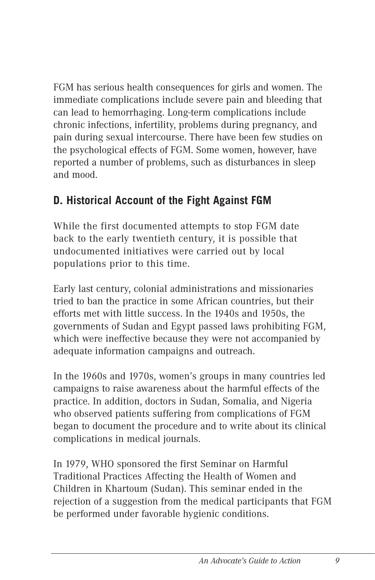FGM has serious health consequences for girls and women. The immediate complications include severe pain and bleeding that can lead to hemorrhaging. Long-term complications include chronic infections, infertility, problems during pregnancy, and pain during sexual intercourse. There have been few studies on the psychological effects of FGM. Some women, however, have reported a number of problems, such as disturbances in sleep and mood.

# **D. Historical Account of the Fight Against FGM**

While the first documented attempts to stop FGM date back to the early twentieth century, it is possible that undocumented initiatives were carried out by local populations prior to this time.

Early last century, colonial administrations and missionaries tried to ban the practice in some African countries, but their efforts met with little success. In the 1940s and 1950s, the governments of Sudan and Egypt passed laws prohibiting FGM, which were ineffective because they were not accompanied by adequate information campaigns and outreach.

In the 1960s and 1970s, women's groups in many countries led campaigns to raise awareness about the harmful effects of the practice. In addition, doctors in Sudan, Somalia, and Nigeria who observed patients suffering from complications of FGM began to document the procedure and to write about its clinical complications in medical journals.

In 1979, WHO sponsored the first Seminar on Harmful Traditional Practices Affecting the Health of Women and Children in Khartoum (Sudan). This seminar ended in the rejection of a suggestion from the medical participants that FGM be performed under favorable hygienic conditions.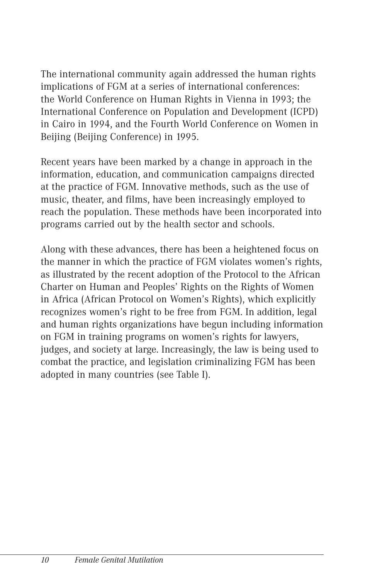The international community again addressed the human rights implications of FGM at a series of international conferences: the World Conference on Human Rights in Vienna in 1993; the International Conference on Population and Development (ICPD) in Cairo in 1994, and the Fourth World Conference on Women in Beijing (Beijing Conference) in 1995.

Recent years have been marked by a change in approach in the information, education, and communication campaigns directed at the practice of FGM. Innovative methods, such as the use of music, theater, and films, have been increasingly employed to reach the population. These methods have been incorporated into programs carried out by the health sector and schools.

Along with these advances, there has been a heightened focus on the manner in which the practice of FGM violates women's rights, as illustrated by the recent adoption of the Protocol to the African Charter on Human and Peoples' Rights on the Rights of Women in Africa (African Protocol on Women's Rights), which explicitly recognizes women's right to be free from FGM. In addition, legal and human rights organizations have begun including information on FGM in training programs on women's rights for lawyers, judges, and society at large. Increasingly, the law is being used to combat the practice, and legislation criminalizing FGM has been adopted in many countries (see Table I).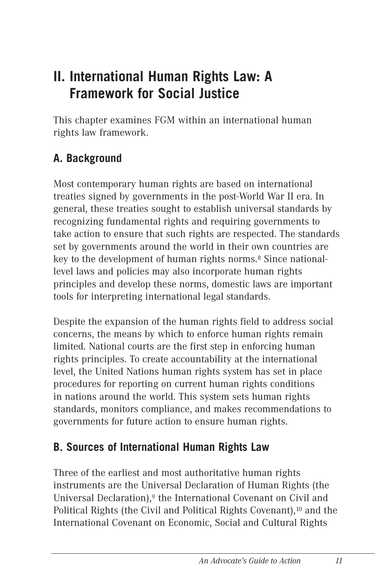# **II. International Human Rights Law: A Framework for Social Justice**

This chapter examines FGM within an international human rights law framework.

# **A. Background**

Most contemporary human rights are based on international treaties signed by governments in the post-World War II era. In general, these treaties sought to establish universal standards by recognizing fundamental rights and requiring governments to take action to ensure that such rights are respected. The standards set by governments around the world in their own countries are key to the development of human rights norms.8 Since nationallevel laws and policies may also incorporate human rights principles and develop these norms, domestic laws are important tools for interpreting international legal standards.

Despite the expansion of the human rights field to address social concerns, the means by which to enforce human rights remain limited. National courts are the first step in enforcing human rights principles. To create accountability at the international level, the United Nations human rights system has set in place procedures for reporting on current human rights conditions in nations around the world. This system sets human rights standards, monitors compliance, and makes recommendations to governments for future action to ensure human rights.

# **B. Sources of International Human Rights Law**

Three of the earliest and most authoritative human rights instruments are the Universal Declaration of Human Rights (the Universal Declaration),<sup>9</sup> the International Covenant on Civil and Political Rights (the Civil and Political Rights Covenant),10 and the International Covenant on Economic, Social and Cultural Rights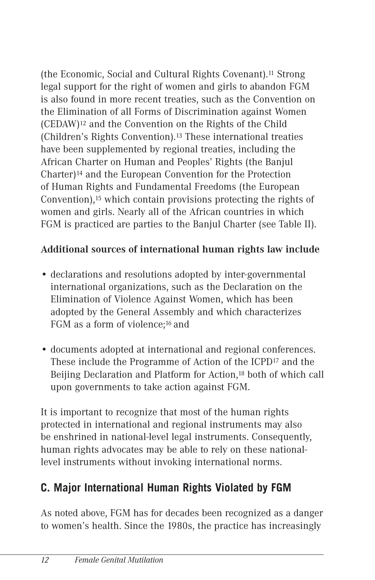(the Economic, Social and Cultural Rights Covenant).11 Strong legal support for the right of women and girls to abandon FGM is also found in more recent treaties, such as the Convention on the Elimination of all Forms of Discrimination against Women (CEDAW)12 and the Convention on the Rights of the Child (Children's Rights Convention).13 These international treaties have been supplemented by regional treaties, including the African Charter on Human and Peoples' Rights (the Banjul Charter)14 and the European Convention for the Protection of Human Rights and Fundamental Freedoms (the European Convention),15 which contain provisions protecting the rights of women and girls. Nearly all of the African countries in which FGM is practiced are parties to the Banjul Charter (see Table II).

# **Additional sources of international human rights law include**

- declarations and resolutions adopted by inter-governmental international organizations, such as the Declaration on the Elimination of Violence Against Women, which has been adopted by the General Assembly and which characterizes FGM as a form of violence;16 and
- documents adopted at international and regional conferences. These include the Programme of Action of the ICPD17 and the Beijing Declaration and Platform for Action,18 both of which call upon governments to take action against FGM.

It is important to recognize that most of the human rights protected in international and regional instruments may also be enshrined in national-level legal instruments. Consequently, human rights advocates may be able to rely on these nationallevel instruments without invoking international norms.

# **C. Major International Human Rights Violated by FGM**

As noted above, FGM has for decades been recognized as a danger to women's health. Since the 1980s, the practice has increasingly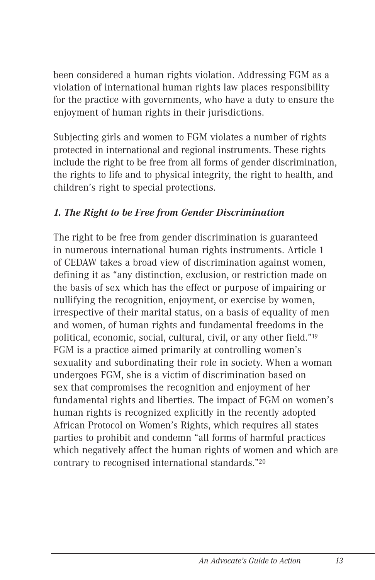been considered a human rights violation. Addressing FGM as a violation of international human rights law places responsibility for the practice with governments, who have a duty to ensure the enjoyment of human rights in their jurisdictions.

Subjecting girls and women to FGM violates a number of rights protected in international and regional instruments. These rights include the right to be free from all forms of gender discrimination, the rights to life and to physical integrity, the right to health, and children's right to special protections.

#### *1. The Right to be Free from Gender Discrimination*

The right to be free from gender discrimination is guaranteed in numerous international human rights instruments. Article 1 of CEDAW takes a broad view of discrimination against women, defining it as "any distinction, exclusion, or restriction made on the basis of sex which has the effect or purpose of impairing or nullifying the recognition, enjoyment, or exercise by women, irrespective of their marital status, on a basis of equality of men and women, of human rights and fundamental freedoms in the political, economic, social, cultural, civil, or any other field."19 FGM is a practice aimed primarily at controlling women's sexuality and subordinating their role in society. When a woman undergoes FGM, she is a victim of discrimination based on sex that compromises the recognition and enjoyment of her fundamental rights and liberties. The impact of FGM on women's human rights is recognized explicitly in the recently adopted African Protocol on Women's Rights, which requires all states parties to prohibit and condemn "all forms of harmful practices which negatively affect the human rights of women and which are contrary to recognised international standards."20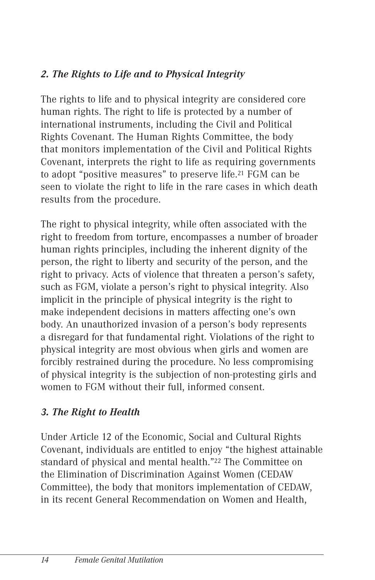# *2. The Rights to Life and to Physical Integrity*

The rights to life and to physical integrity are considered core human rights. The right to life is protected by a number of international instruments, including the Civil and Political Rights Covenant. The Human Rights Committee, the body that monitors implementation of the Civil and Political Rights Covenant, interprets the right to life as requiring governments to adopt "positive measures" to preserve life.21 FGM can be seen to violate the right to life in the rare cases in which death results from the procedure.

The right to physical integrity, while often associated with the right to freedom from torture, encompasses a number of broader human rights principles, including the inherent dignity of the person, the right to liberty and security of the person, and the right to privacy. Acts of violence that threaten a person's safety, such as FGM, violate a person's right to physical integrity. Also implicit in the principle of physical integrity is the right to make independent decisions in matters affecting one's own body. An unauthorized invasion of a person's body represents a disregard for that fundamental right. Violations of the right to physical integrity are most obvious when girls and women are forcibly restrained during the procedure. No less compromising of physical integrity is the subjection of non-protesting girls and women to FGM without their full, informed consent.

# *3. The Right to Health*

Under Article 12 of the Economic, Social and Cultural Rights Covenant, individuals are entitled to enjoy "the highest attainable standard of physical and mental health."22 The Committee on the Elimination of Discrimination Against Women (CEDAW Committee), the body that monitors implementation of CEDAW, in its recent General Recommendation on Women and Health,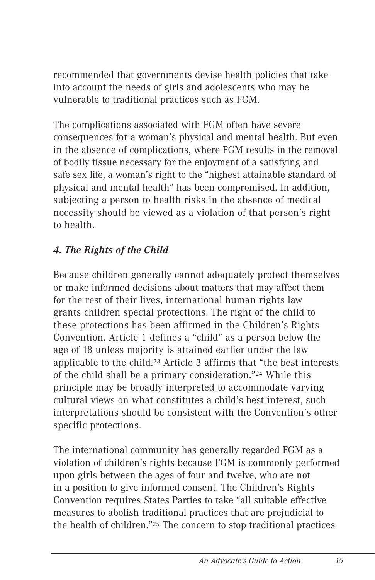recommended that governments devise health policies that take into account the needs of girls and adolescents who may be vulnerable to traditional practices such as FGM.

The complications associated with FGM often have severe consequences for a woman's physical and mental health. But even in the absence of complications, where FGM results in the removal of bodily tissue necessary for the enjoyment of a satisfying and safe sex life, a woman's right to the "highest attainable standard of physical and mental health" has been compromised. In addition, subjecting a person to health risks in the absence of medical necessity should be viewed as a violation of that person's right to health.

# *4. The Rights of the Child*

Because children generally cannot adequately protect themselves or make informed decisions about matters that may affect them for the rest of their lives, international human rights law grants children special protections. The right of the child to these protections has been affirmed in the Children's Rights Convention. Article 1 defines a "child" as a person below the age of 18 unless majority is attained earlier under the law applicable to the child.23 Article 3 affirms that "the best interests of the child shall be a primary consideration."24 While this principle may be broadly interpreted to accommodate varying cultural views on what constitutes a child's best interest, such interpretations should be consistent with the Convention's other specific protections.

The international community has generally regarded FGM as a violation of children's rights because FGM is commonly performed upon girls between the ages of four and twelve, who are not in a position to give informed consent. The Children's Rights Convention requires States Parties to take "all suitable effective measures to abolish traditional practices that are prejudicial to the health of children."25 The concern to stop traditional practices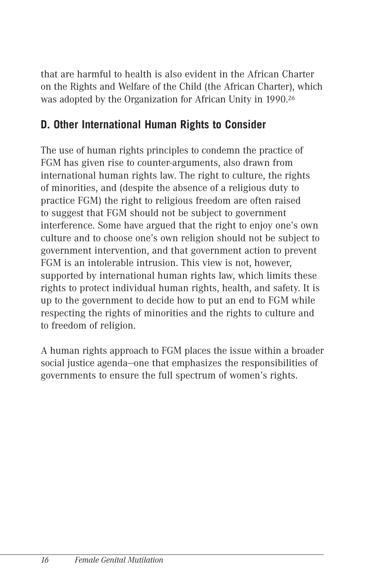that are harmful to health is also evident in the African Charter on the Rights and Welfare of the Child (the African Charter), which was adopted by the Organization for African Unity in 1990.26

# **D. Other International Human Rights to Consider**

The use of human rights principles to condemn the practice of FGM has given rise to counter-arguments, also drawn from international human rights law. The right to culture, the rights of minorities, and (despite the absence of a religious duty to practice FGM) the right to religious freedom are often raised to suggest that FGM should not be subject to government interference. Some have argued that the right to enjoy one's own culture and to choose one's own religion should not be subject to government intervention, and that government action to prevent FGM is an intolerable intrusion. This view is not, however, supported by international human rights law, which limits these rights to protect individual human rights, health, and safety. It is up to the government to decide how to put an end to FGM while respecting the rights of minorities and the rights to culture and to freedom of religion.

A human rights approach to FGM places the issue within a broader social justice agenda—one that emphasizes the responsibilities of governments to ensure the full spectrum of women's rights.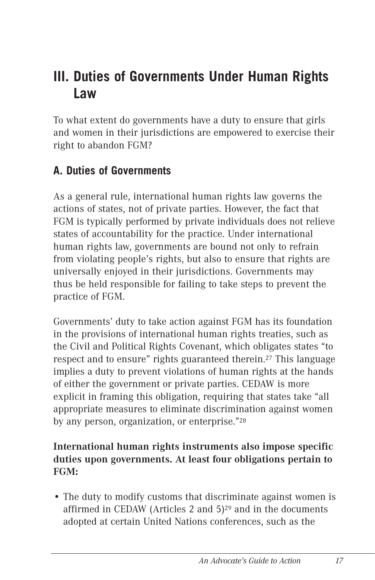# **III. Duties of Governments Under Human Rights Law**

To what extent do governments have a duty to ensure that girls and women in their jurisdictions are empowered to exercise their right to abandon FGM?

# **A. Duties of Governments**

As a general rule, international human rights law governs the actions of states, not of private parties. However, the fact that FGM is typically performed by private individuals does not relieve states of accountability for the practice. Under international human rights law, governments are bound not only to refrain from violating people's rights, but also to ensure that rights are universally enjoyed in their jurisdictions. Governments may thus be held responsible for failing to take steps to prevent the practice of FGM.

Governments' duty to take action against FGM has its foundation in the provisions of international human rights treaties, such as the Civil and Political Rights Covenant, which obligates states "to respect and to ensure" rights guaranteed therein.27 This language implies a duty to prevent violations of human rights at the hands of either the government or private parties. CEDAW is more explicit in framing this obligation, requiring that states take "all appropriate measures to eliminate discrimination against women by any person, organization, or enterprise."28

### **International human rights instruments also impose specific duties upon governments. At least four obligations pertain to FGM:**

• The duty to modify customs that discriminate against women is affirmed in CEDAW (Articles 2 and 5)29 and in the documents adopted at certain United Nations conferences, such as the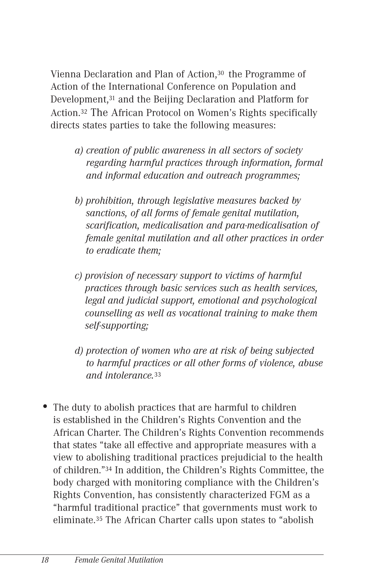Vienna Declaration and Plan of Action,30 the Programme of Action of the International Conference on Population and Development,31 and the Beijing Declaration and Platform for Action.32 The African Protocol on Women's Rights specifically directs states parties to take the following measures:

- *a) creation of public awareness in all sectors of society regarding harmful practices through information, formal and informal education and outreach programmes;*
- *b) prohibition, through legislative measures backed by sanctions, of all forms of female genital mutilation, scarification, medicalisation and para-medicalisation of female genital mutilation and all other practices in order to eradicate them;*
- *c) provision of necessary support to victims of harmful practices through basic services such as health services, legal and judicial support, emotional and psychological counselling as well as vocational training to make them self-supporting;*
- *d) protection of women who are at risk of being subjected to harmful practices or all other forms of violence, abuse and intolerance.*<sup>33</sup>
- The duty to abolish practices that are harmful to children is established in the Children's Rights Convention and the African Charter. The Children's Rights Convention recommends that states "take all effective and appropriate measures with a view to abolishing traditional practices prejudicial to the health of children."34 In addition, the Children's Rights Committee, the body charged with monitoring compliance with the Children's Rights Convention, has consistently characterized FGM as a "harmful traditional practice" that governments must work to eliminate.35 The African Charter calls upon states to "abolish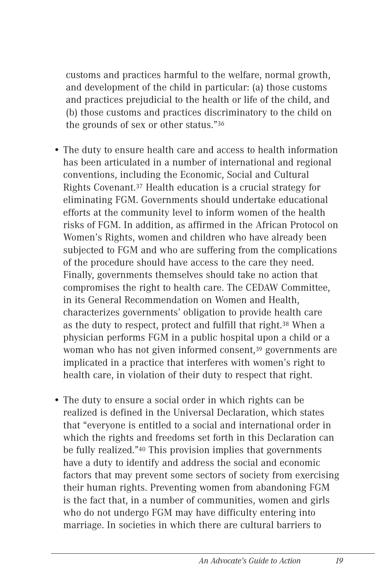customs and practices harmful to the welfare, normal growth, and development of the child in particular: (a) those customs and practices prejudicial to the health or life of the child, and (b) those customs and practices discriminatory to the child on the grounds of sex or other status."36

- The duty to ensure health care and access to health information has been articulated in a number of international and regional conventions, including the Economic, Social and Cultural Rights Covenant.37 Health education is a crucial strategy for eliminating FGM. Governments should undertake educational efforts at the community level to inform women of the health risks of FGM. In addition, as affirmed in the African Protocol on Women's Rights, women and children who have already been subjected to FGM and who are suffering from the complications of the procedure should have access to the care they need. Finally, governments themselves should take no action that compromises the right to health care. The CEDAW Committee, in its General Recommendation on Women and Health, characterizes governments' obligation to provide health care as the duty to respect, protect and fulfill that right.38 When a physician performs FGM in a public hospital upon a child or a woman who has not given informed consent,39 governments are implicated in a practice that interferes with women's right to health care, in violation of their duty to respect that right.
- The duty to ensure a social order in which rights can be realized is defined in the Universal Declaration, which states that "everyone is entitled to a social and international order in which the rights and freedoms set forth in this Declaration can be fully realized."40 This provision implies that governments have a duty to identify and address the social and economic factors that may prevent some sectors of society from exercising their human rights. Preventing women from abandoning FGM is the fact that, in a number of communities, women and girls who do not undergo FGM may have difficulty entering into marriage. In societies in which there are cultural barriers to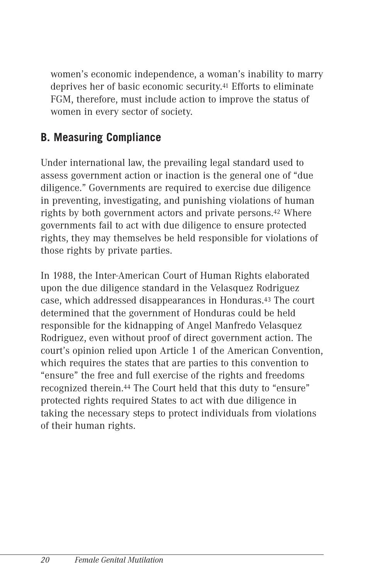women's economic independence, a woman's inability to marry deprives her of basic economic security.41 Efforts to eliminate FGM, therefore, must include action to improve the status of women in every sector of society.

# **B. Measuring Compliance**

Under international law, the prevailing legal standard used to assess government action or inaction is the general one of "due diligence." Governments are required to exercise due diligence in preventing, investigating, and punishing violations of human rights by both government actors and private persons.42 Where governments fail to act with due diligence to ensure protected rights, they may themselves be held responsible for violations of those rights by private parties.

In 1988, the Inter-American Court of Human Rights elaborated upon the due diligence standard in the Velasquez Rodriguez case, which addressed disappearances in Honduras.43 The court determined that the government of Honduras could be held responsible for the kidnapping of Angel Manfredo Velasquez Rodriguez, even without proof of direct government action. The court's opinion relied upon Article 1 of the American Convention, which requires the states that are parties to this convention to "ensure" the free and full exercise of the rights and freedoms recognized therein.44 The Court held that this duty to "ensure" protected rights required States to act with due diligence in taking the necessary steps to protect individuals from violations of their human rights.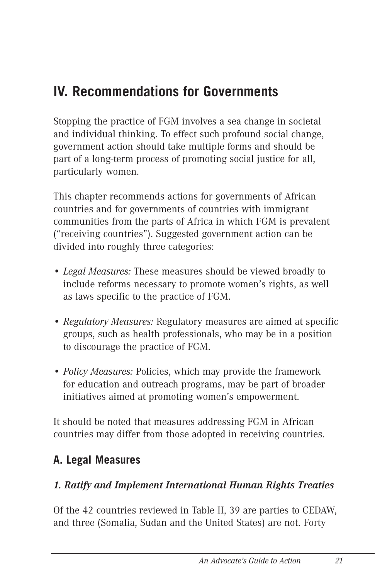# **IV. Recommendations for Governments**

Stopping the practice of FGM involves a sea change in societal and individual thinking. To effect such profound social change, government action should take multiple forms and should be part of a long-term process of promoting social justice for all, particularly women.

This chapter recommends actions for governments of African countries and for governments of countries with immigrant communities from the parts of Africa in which FGM is prevalent ("receiving countries"). Suggested government action can be divided into roughly three categories:

- *Legal Measures:* These measures should be viewed broadly to include reforms necessary to promote women's rights, as well as laws specific to the practice of FGM.
- *Regulatory Measures:* Regulatory measures are aimed at specific groups, such as health professionals, who may be in a position to discourage the practice of FGM.
- *Policy Measures:* Policies, which may provide the framework for education and outreach programs, may be part of broader initiatives aimed at promoting women's empowerment.

It should be noted that measures addressing FGM in African countries may differ from those adopted in receiving countries.

# **A. Legal Measures**

# *1. Ratify and Implement International Human Rights Treaties*

Of the 42 countries reviewed in Table II, 39 are parties to CEDAW, and three (Somalia, Sudan and the United States) are not. Forty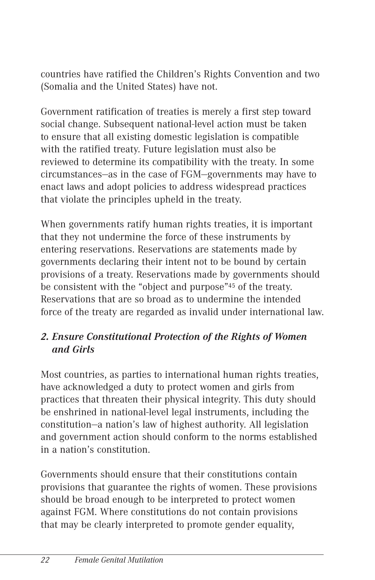countries have ratified the Children's Rights Convention and two (Somalia and the United States) have not.

Government ratification of treaties is merely a first step toward social change. Subsequent national-level action must be taken to ensure that all existing domestic legislation is compatible with the ratified treaty. Future legislation must also be reviewed to determine its compatibility with the treaty. In some circumstances—as in the case of FGM—governments may have to enact laws and adopt policies to address widespread practices that violate the principles upheld in the treaty.

When governments ratify human rights treaties, it is important that they not undermine the force of these instruments by entering reservations. Reservations are statements made by governments declaring their intent not to be bound by certain provisions of a treaty. Reservations made by governments should be consistent with the "object and purpose"45 of the treaty. Reservations that are so broad as to undermine the intended force of the treaty are regarded as invalid under international law.

#### *2. Ensure Constitutional Protection of the Rights of Women and Girls*

Most countries, as parties to international human rights treaties, have acknowledged a duty to protect women and girls from practices that threaten their physical integrity. This duty should be enshrined in national-level legal instruments, including the constitution—a nation's law of highest authority. All legislation and government action should conform to the norms established in a nation's constitution.

Governments should ensure that their constitutions contain provisions that guarantee the rights of women. These provisions should be broad enough to be interpreted to protect women against FGM. Where constitutions do not contain provisions that may be clearly interpreted to promote gender equality,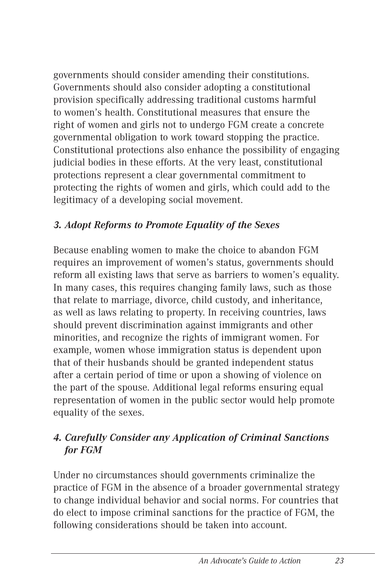governments should consider amending their constitutions. Governments should also consider adopting a constitutional provision specifically addressing traditional customs harmful to women's health. Constitutional measures that ensure the right of women and girls not to undergo FGM create a concrete governmental obligation to work toward stopping the practice. Constitutional protections also enhance the possibility of engaging judicial bodies in these efforts. At the very least, constitutional protections represent a clear governmental commitment to protecting the rights of women and girls, which could add to the legitimacy of a developing social movement.

# *3. Adopt Reforms to Promote Equality of the Sexes*

Because enabling women to make the choice to abandon FGM requires an improvement of women's status, governments should reform all existing laws that serve as barriers to women's equality. In many cases, this requires changing family laws, such as those that relate to marriage, divorce, child custody, and inheritance, as well as laws relating to property. In receiving countries, laws should prevent discrimination against immigrants and other minorities, and recognize the rights of immigrant women. For example, women whose immigration status is dependent upon that of their husbands should be granted independent status after a certain period of time or upon a showing of violence on the part of the spouse. Additional legal reforms ensuring equal representation of women in the public sector would help promote equality of the sexes.

# *4. Carefully Consider any Application of Criminal Sanctions for FGM*

Under no circumstances should governments criminalize the practice of FGM in the absence of a broader governmental strategy to change individual behavior and social norms. For countries that do elect to impose criminal sanctions for the practice of FGM, the following considerations should be taken into account.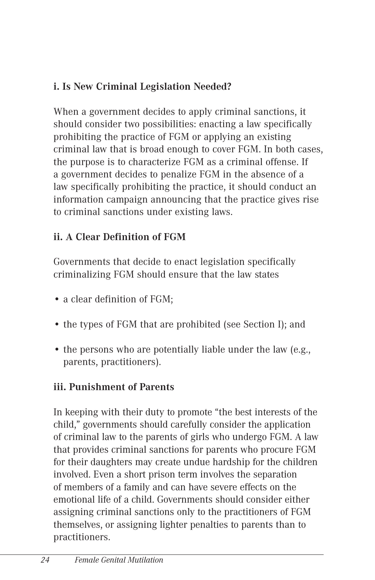# **i. Is New Criminal Legislation Needed?**

When a government decides to apply criminal sanctions, it should consider two possibilities: enacting a law specifically prohibiting the practice of FGM or applying an existing criminal law that is broad enough to cover FGM. In both cases, the purpose is to characterize FGM as a criminal offense. If a government decides to penalize FGM in the absence of a law specifically prohibiting the practice, it should conduct an information campaign announcing that the practice gives rise to criminal sanctions under existing laws.

# **ii. A Clear Definition of FGM**

Governments that decide to enact legislation specifically criminalizing FGM should ensure that the law states

- a clear definition of FGM;
- the types of FGM that are prohibited (see Section I); and
- the persons who are potentially liable under the law (e.g., parents, practitioners).

# **iii. Punishment of Parents**

In keeping with their duty to promote "the best interests of the child," governments should carefully consider the application of criminal law to the parents of girls who undergo FGM. A law that provides criminal sanctions for parents who procure FGM for their daughters may create undue hardship for the children involved. Even a short prison term involves the separation of members of a family and can have severe effects on the emotional life of a child. Governments should consider either assigning criminal sanctions only to the practitioners of FGM themselves, or assigning lighter penalties to parents than to practitioners.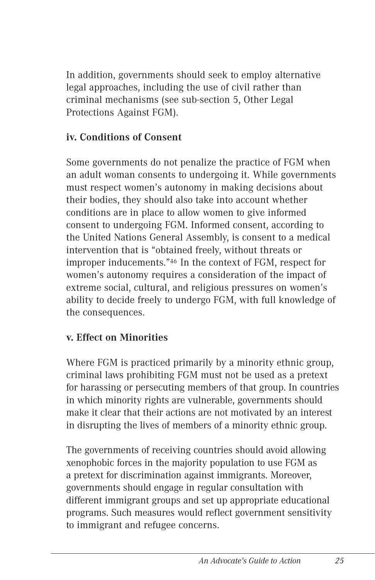In addition, governments should seek to employ alternative legal approaches, including the use of civil rather than criminal mechanisms (see sub-section 5, Other Legal Protections Against FGM).

# **iv. Conditions of Consent**

Some governments do not penalize the practice of FGM when an adult woman consents to undergoing it. While governments must respect women's autonomy in making decisions about their bodies, they should also take into account whether conditions are in place to allow women to give informed consent to undergoing FGM. Informed consent, according to the United Nations General Assembly, is consent to a medical intervention that is "obtained freely, without threats or improper inducements."46 In the context of FGM, respect for women's autonomy requires a consideration of the impact of extreme social, cultural, and religious pressures on women's ability to decide freely to undergo FGM, with full knowledge of the consequences.

# **v. Effect on Minorities**

Where FGM is practiced primarily by a minority ethnic group, criminal laws prohibiting FGM must not be used as a pretext for harassing or persecuting members of that group. In countries in which minority rights are vulnerable, governments should make it clear that their actions are not motivated by an interest in disrupting the lives of members of a minority ethnic group.

The governments of receiving countries should avoid allowing xenophobic forces in the majority population to use FGM as a pretext for discrimination against immigrants. Moreover, governments should engage in regular consultation with different immigrant groups and set up appropriate educational programs. Such measures would reflect government sensitivity to immigrant and refugee concerns.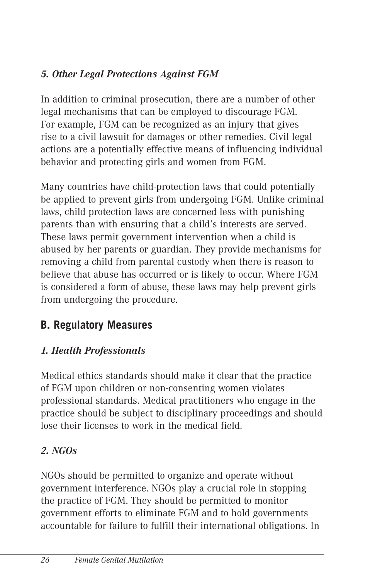# *5. Other Legal Protections Against FGM*

In addition to criminal prosecution, there are a number of other legal mechanisms that can be employed to discourage FGM. For example, FGM can be recognized as an injury that gives rise to a civil lawsuit for damages or other remedies. Civil legal actions are a potentially effective means of influencing individual behavior and protecting girls and women from FGM.

Many countries have child-protection laws that could potentially be applied to prevent girls from undergoing FGM. Unlike criminal laws, child protection laws are concerned less with punishing parents than with ensuring that a child's interests are served. These laws permit government intervention when a child is abused by her parents or guardian. They provide mechanisms for removing a child from parental custody when there is reason to believe that abuse has occurred or is likely to occur. Where FGM is considered a form of abuse, these laws may help prevent girls from undergoing the procedure.

# **B. Regulatory Measures**

# *1. Health Professionals*

Medical ethics standards should make it clear that the practice of FGM upon children or non-consenting women violates professional standards. Medical practitioners who engage in the practice should be subject to disciplinary proceedings and should lose their licenses to work in the medical field.

# *2. NGOs*

NGOs should be permitted to organize and operate without government interference. NGOs play a crucial role in stopping the practice of FGM. They should be permitted to monitor government efforts to eliminate FGM and to hold governments accountable for failure to fulfill their international obligations. In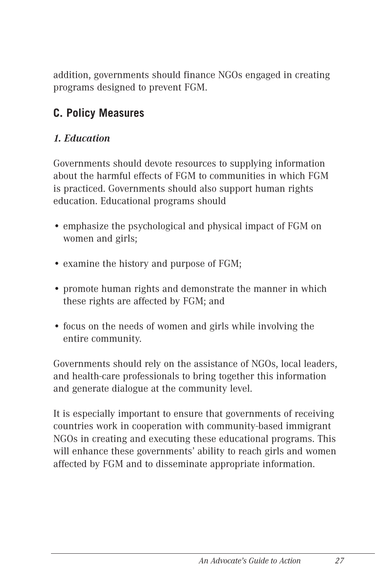addition, governments should finance NGOs engaged in creating programs designed to prevent FGM.

# **C. Policy Measures**

# *1. Education*

Governments should devote resources to supplying information about the harmful effects of FGM to communities in which FGM is practiced. Governments should also support human rights education. Educational programs should

- emphasize the psychological and physical impact of FGM on women and girls;
- examine the history and purpose of FGM;
- promote human rights and demonstrate the manner in which these rights are affected by FGM; and
- focus on the needs of women and girls while involving the entire community.

Governments should rely on the assistance of NGOs, local leaders, and health-care professionals to bring together this information and generate dialogue at the community level.

It is especially important to ensure that governments of receiving countries work in cooperation with community-based immigrant NGOs in creating and executing these educational programs. This will enhance these governments' ability to reach girls and women affected by FGM and to disseminate appropriate information.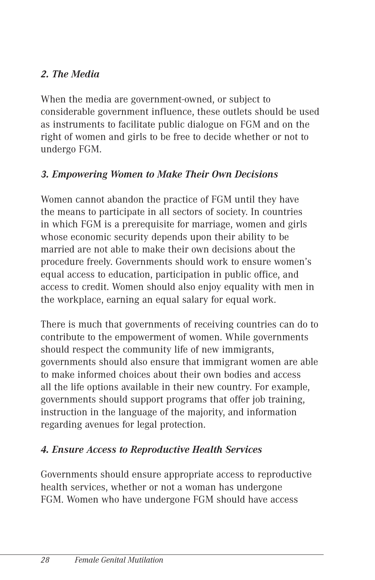# *2. The Media*

When the media are government-owned, or subject to considerable government influence, these outlets should be used as instruments to facilitate public dialogue on FGM and on the right of women and girls to be free to decide whether or not to undergo FGM.

# *3. Empowering Women to Make Their Own Decisions*

Women cannot abandon the practice of FGM until they have the means to participate in all sectors of society. In countries in which FGM is a prerequisite for marriage, women and girls whose economic security depends upon their ability to be married are not able to make their own decisions about the procedure freely. Governments should work to ensure women's equal access to education, participation in public office, and access to credit. Women should also enjoy equality with men in the workplace, earning an equal salary for equal work.

There is much that governments of receiving countries can do to contribute to the empowerment of women. While governments should respect the community life of new immigrants, governments should also ensure that immigrant women are able to make informed choices about their own bodies and access all the life options available in their new country. For example, governments should support programs that offer job training, instruction in the language of the majority, and information regarding avenues for legal protection.

# *4. Ensure Access to Reproductive Health Services*

Governments should ensure appropriate access to reproductive health services, whether or not a woman has undergone FGM. Women who have undergone FGM should have access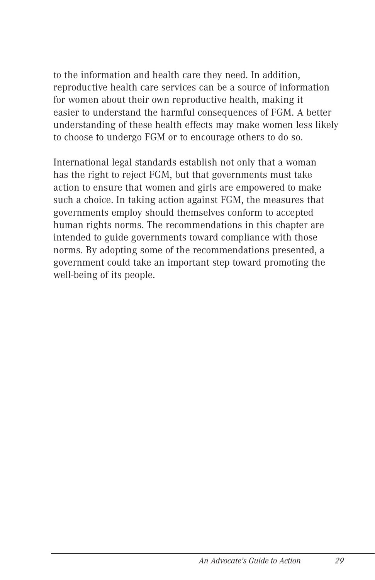to the information and health care they need. In addition, reproductive health care services can be a source of information for women about their own reproductive health, making it easier to understand the harmful consequences of FGM. A better understanding of these health effects may make women less likely to choose to undergo FGM or to encourage others to do so.

International legal standards establish not only that a woman has the right to reject FGM, but that governments must take action to ensure that women and girls are empowered to make such a choice. In taking action against FGM, the measures that governments employ should themselves conform to accepted human rights norms. The recommendations in this chapter are intended to guide governments toward compliance with those norms. By adopting some of the recommendations presented, a government could take an important step toward promoting the well-being of its people.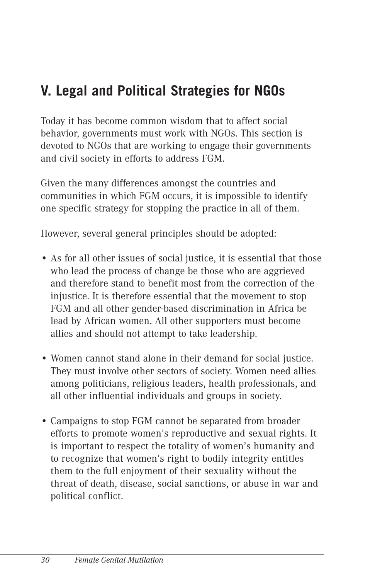# **V. Legal and Political Strategies for NGOs**

Today it has become common wisdom that to affect social behavior, governments must work with NGOs. This section is devoted to NGOs that are working to engage their governments and civil society in efforts to address FGM.

Given the many differences amongst the countries and communities in which FGM occurs, it is impossible to identify one specific strategy for stopping the practice in all of them.

However, several general principles should be adopted:

- As for all other issues of social justice, it is essential that those who lead the process of change be those who are aggrieved and therefore stand to benefit most from the correction of the injustice. It is therefore essential that the movement to stop FGM and all other gender-based discrimination in Africa be lead by African women. All other supporters must become allies and should not attempt to take leadership.
- Women cannot stand alone in their demand for social justice. They must involve other sectors of society. Women need allies among politicians, religious leaders, health professionals, and all other influential individuals and groups in society.
- Campaigns to stop FGM cannot be separated from broader efforts to promote women's reproductive and sexual rights. It is important to respect the totality of women's humanity and to recognize that women's right to bodily integrity entitles them to the full enjoyment of their sexuality without the threat of death, disease, social sanctions, or abuse in war and political conflict.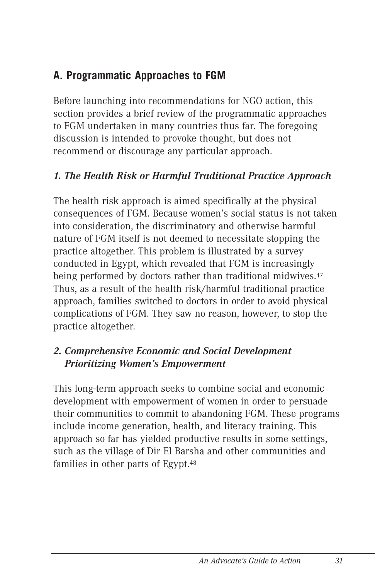# **A. Programmatic Approaches to FGM**

Before launching into recommendations for NGO action, this section provides a brief review of the programmatic approaches to FGM undertaken in many countries thus far. The foregoing discussion is intended to provoke thought, but does not recommend or discourage any particular approach.

# *1. The Health Risk or Harmful Traditional Practice Approach*

The health risk approach is aimed specifically at the physical consequences of FGM. Because women's social status is not taken into consideration, the discriminatory and otherwise harmful nature of FGM itself is not deemed to necessitate stopping the practice altogether. This problem is illustrated by a survey conducted in Egypt, which revealed that FGM is increasingly being performed by doctors rather than traditional midwives.47 Thus, as a result of the health risk/harmful traditional practice approach, families switched to doctors in order to avoid physical complications of FGM. They saw no reason, however, to stop the practice altogether.

#### *2. Comprehensive Economic and Social Development Prioritizing Women's Empowerment*

This long-term approach seeks to combine social and economic development with empowerment of women in order to persuade their communities to commit to abandoning FGM. These programs include income generation, health, and literacy training. This approach so far has yielded productive results in some settings, such as the village of Dir El Barsha and other communities and families in other parts of Egypt.48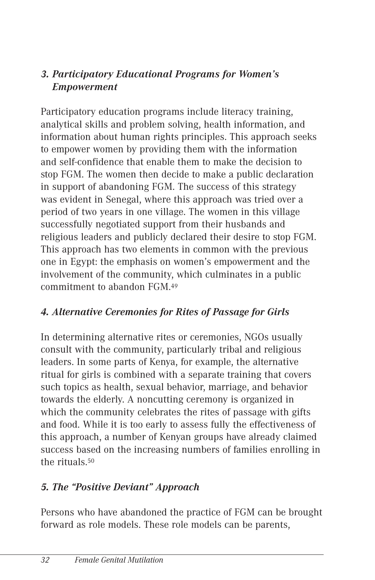# *3. Participatory Educational Programs for Women's Empowerment*

Participatory education programs include literacy training, analytical skills and problem solving, health information, and information about human rights principles. This approach seeks to empower women by providing them with the information and self-confidence that enable them to make the decision to stop FGM. The women then decide to make a public declaration in support of abandoning FGM. The success of this strategy was evident in Senegal, where this approach was tried over a period of two years in one village. The women in this village successfully negotiated support from their husbands and religious leaders and publicly declared their desire to stop FGM. This approach has two elements in common with the previous one in Egypt: the emphasis on women's empowerment and the involvement of the community, which culminates in a public commitment to abandon FGM.49

# *4. Alternative Ceremonies for Rites of Passage for Girls*

In determining alternative rites or ceremonies, NGOs usually consult with the community, particularly tribal and religious leaders. In some parts of Kenya, for example, the alternative ritual for girls is combined with a separate training that covers such topics as health, sexual behavior, marriage, and behavior towards the elderly. A noncutting ceremony is organized in which the community celebrates the rites of passage with gifts and food. While it is too early to assess fully the effectiveness of this approach, a number of Kenyan groups have already claimed success based on the increasing numbers of families enrolling in the rituals.50

#### *5. The "Positive Deviant" Approach*

Persons who have abandoned the practice of FGM can be brought forward as role models. These role models can be parents,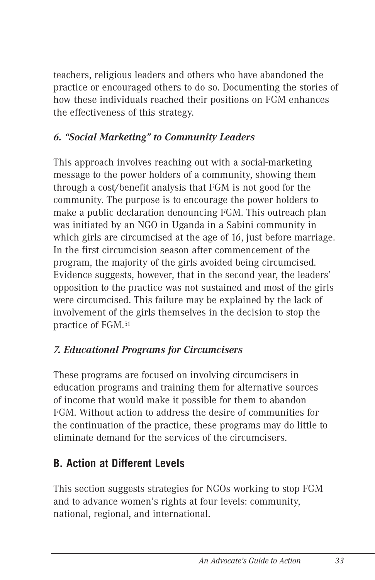teachers, religious leaders and others who have abandoned the practice or encouraged others to do so. Documenting the stories of how these individuals reached their positions on FGM enhances the effectiveness of this strategy.

# *6. "Social Marketing" to Community Leaders*

This approach involves reaching out with a social-marketing message to the power holders of a community, showing them through a cost/benefit analysis that FGM is not good for the community. The purpose is to encourage the power holders to make a public declaration denouncing FGM. This outreach plan was initiated by an NGO in Uganda in a Sabini community in which girls are circumcised at the age of 16, just before marriage. In the first circumcision season after commencement of the program, the majority of the girls avoided being circumcised. Evidence suggests, however, that in the second year, the leaders' opposition to the practice was not sustained and most of the girls were circumcised. This failure may be explained by the lack of involvement of the girls themselves in the decision to stop the practice of FGM.51

# *7. Educational Programs for Circumcisers*

These programs are focused on involving circumcisers in education programs and training them for alternative sources of income that would make it possible for them to abandon FGM. Without action to address the desire of communities for the continuation of the practice, these programs may do little to eliminate demand for the services of the circumcisers.

# **B. Action at Different Levels**

This section suggests strategies for NGOs working to stop FGM and to advance women's rights at four levels: community, national, regional, and international.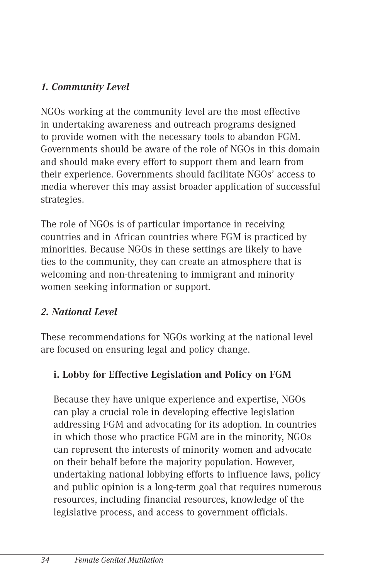# *1. Community Level*

NGOs working at the community level are the most effective in undertaking awareness and outreach programs designed to provide women with the necessary tools to abandon FGM. Governments should be aware of the role of NGOs in this domain and should make every effort to support them and learn from their experience. Governments should facilitate NGOs' access to media wherever this may assist broader application of successful strategies.

The role of NGOs is of particular importance in receiving countries and in African countries where FGM is practiced by minorities. Because NGOs in these settings are likely to have ties to the community, they can create an atmosphere that is welcoming and non-threatening to immigrant and minority women seeking information or support.

# *2. National Level*

These recommendations for NGOs working at the national level are focused on ensuring legal and policy change.

# **i. Lobby for Effective Legislation and Policy on FGM**

Because they have unique experience and expertise, NGOs can play a crucial role in developing effective legislation addressing FGM and advocating for its adoption. In countries in which those who practice FGM are in the minority, NGOs can represent the interests of minority women and advocate on their behalf before the majority population. However, undertaking national lobbying efforts to influence laws, policy and public opinion is a long-term goal that requires numerous resources, including financial resources, knowledge of the legislative process, and access to government officials.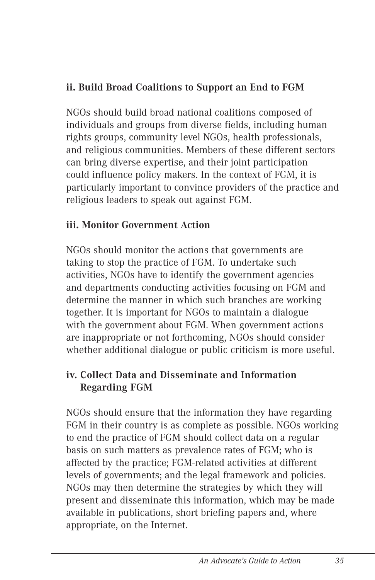### **ii. Build Broad Coalitions to Support an End to FGM**

NGOs should build broad national coalitions composed of individuals and groups from diverse fields, including human rights groups, community level NGOs, health professionals, and religious communities. Members of these different sectors can bring diverse expertise, and their joint participation could influence policy makers. In the context of FGM, it is particularly important to convince providers of the practice and religious leaders to speak out against FGM.

#### **iii. Monitor Government Action**

NGOs should monitor the actions that governments are taking to stop the practice of FGM. To undertake such activities, NGOs have to identify the government agencies and departments conducting activities focusing on FGM and determine the manner in which such branches are working together. It is important for NGOs to maintain a dialogue with the government about FGM. When government actions are inappropriate or not forthcoming, NGOs should consider whether additional dialogue or public criticism is more useful.

#### **iv. Collect Data and Disseminate and Information Regarding FGM**

NGOs should ensure that the information they have regarding FGM in their country is as complete as possible. NGOs working to end the practice of FGM should collect data on a regular basis on such matters as prevalence rates of FGM; who is affected by the practice; FGM-related activities at different levels of governments; and the legal framework and policies. NGOs may then determine the strategies by which they will present and disseminate this information, which may be made available in publications, short briefing papers and, where appropriate, on the Internet.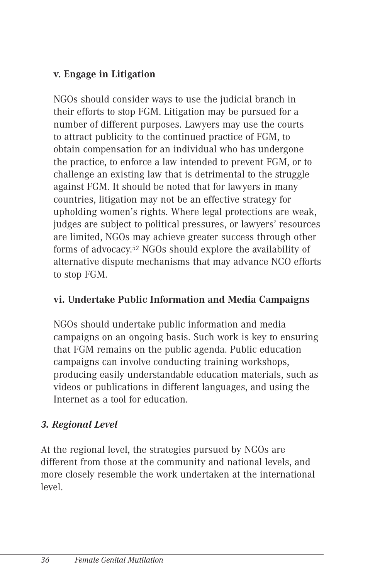### **v. Engage in Litigation**

NGOs should consider ways to use the judicial branch in their efforts to stop FGM. Litigation may be pursued for a number of different purposes. Lawyers may use the courts to attract publicity to the continued practice of FGM, to obtain compensation for an individual who has undergone the practice, to enforce a law intended to prevent FGM, or to challenge an existing law that is detrimental to the struggle against FGM. It should be noted that for lawyers in many countries, litigation may not be an effective strategy for upholding women's rights. Where legal protections are weak, judges are subject to political pressures, or lawyers' resources are limited, NGOs may achieve greater success through other forms of advocacy.52 NGOs should explore the availability of alternative dispute mechanisms that may advance NGO efforts to stop FGM.

#### **vi. Undertake Public Information and Media Campaigns**

NGOs should undertake public information and media campaigns on an ongoing basis. Such work is key to ensuring that FGM remains on the public agenda. Public education campaigns can involve conducting training workshops, producing easily understandable education materials, such as videos or publications in different languages, and using the Internet as a tool for education.

# *3. Regional Level*

At the regional level, the strategies pursued by NGOs are different from those at the community and national levels, and more closely resemble the work undertaken at the international level.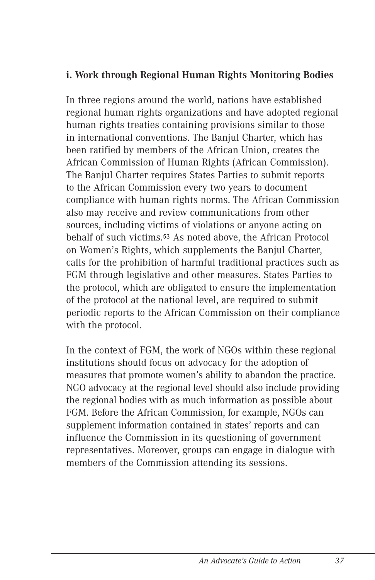#### **i. Work through Regional Human Rights Monitoring Bodies**

In three regions around the world, nations have established regional human rights organizations and have adopted regional human rights treaties containing provisions similar to those in international conventions. The Banjul Charter, which has been ratified by members of the African Union, creates the African Commission of Human Rights (African Commission). The Banjul Charter requires States Parties to submit reports to the African Commission every two years to document compliance with human rights norms. The African Commission also may receive and review communications from other sources, including victims of violations or anyone acting on behalf of such victims.53 As noted above, the African Protocol on Women's Rights, which supplements the Banjul Charter, calls for the prohibition of harmful traditional practices such as FGM through legislative and other measures. States Parties to the protocol, which are obligated to ensure the implementation of the protocol at the national level, are required to submit periodic reports to the African Commission on their compliance with the protocol.

In the context of FGM, the work of NGOs within these regional institutions should focus on advocacy for the adoption of measures that promote women's ability to abandon the practice. NGO advocacy at the regional level should also include providing the regional bodies with as much information as possible about FGM. Before the African Commission, for example, NGOs can supplement information contained in states' reports and can influence the Commission in its questioning of government representatives. Moreover, groups can engage in dialogue with members of the Commission attending its sessions.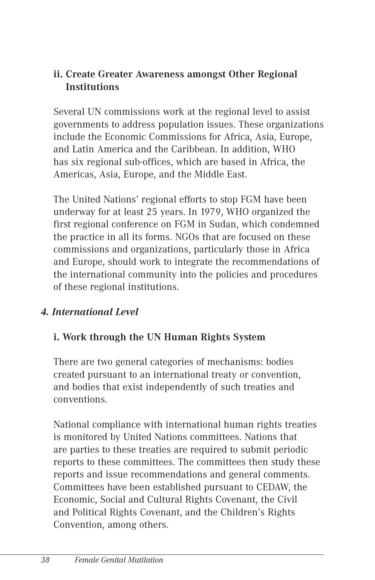#### **ii. Create Greater Awareness amongst Other Regional Institutions**

Several UN commissions work at the regional level to assist governments to address population issues. These organizations include the Economic Commissions for Africa, Asia, Europe, and Latin America and the Caribbean. In addition, WHO has six regional sub-offices, which are based in Africa, the Americas, Asia, Europe, and the Middle East.

The United Nations' regional efforts to stop FGM have been underway for at least 25 years. In 1979, WHO organized the first regional conference on FGM in Sudan, which condemned the practice in all its forms. NGOs that are focused on these commissions and organizations, particularly those in Africa and Europe, should work to integrate the recommendations of the international community into the policies and procedures of these regional institutions.

#### *4. International Level*

#### **i. Work through the UN Human Rights System**

There are two general categories of mechanisms: bodies created pursuant to an international treaty or convention, and bodies that exist independently of such treaties and conventions.

National compliance with international human rights treaties is monitored by United Nations committees. Nations that are parties to these treaties are required to submit periodic reports to these committees. The committees then study these reports and issue recommendations and general comments. Committees have been established pursuant to CEDAW, the Economic, Social and Cultural Rights Covenant, the Civil and Political Rights Covenant, and the Children's Rights Convention, among others.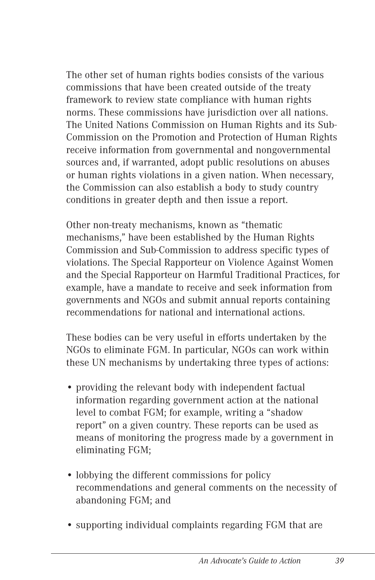The other set of human rights bodies consists of the various commissions that have been created outside of the treaty framework to review state compliance with human rights norms. These commissions have jurisdiction over all nations. The United Nations Commission on Human Rights and its Sub-Commission on the Promotion and Protection of Human Rights receive information from governmental and nongovernmental sources and, if warranted, adopt public resolutions on abuses or human rights violations in a given nation. When necessary, the Commission can also establish a body to study country conditions in greater depth and then issue a report.

Other non-treaty mechanisms, known as "thematic mechanisms," have been established by the Human Rights Commission and Sub-Commission to address specific types of violations. The Special Rapporteur on Violence Against Women and the Special Rapporteur on Harmful Traditional Practices, for example, have a mandate to receive and seek information from governments and NGOs and submit annual reports containing recommendations for national and international actions.

These bodies can be very useful in efforts undertaken by the NGOs to eliminate FGM. In particular, NGOs can work within these UN mechanisms by undertaking three types of actions:

- providing the relevant body with independent factual information regarding government action at the national level to combat FGM; for example, writing a "shadow report" on a given country. These reports can be used as means of monitoring the progress made by a government in eliminating FGM;
- lobbying the different commissions for policy recommendations and general comments on the necessity of abandoning FGM; and
- supporting individual complaints regarding FGM that are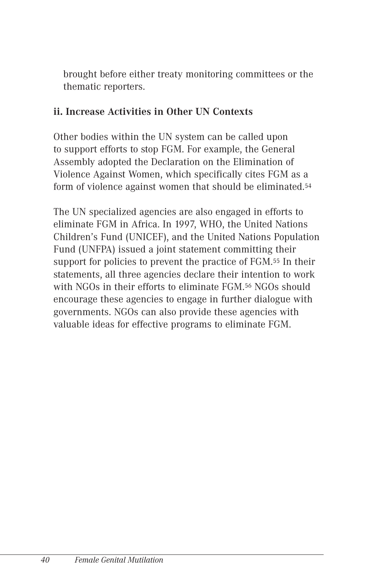brought before either treaty monitoring committees or the thematic reporters.

#### **ii. Increase Activities in Other UN Contexts**

Other bodies within the UN system can be called upon to support efforts to stop FGM. For example, the General Assembly adopted the Declaration on the Elimination of Violence Against Women, which specifically cites FGM as a form of violence against women that should be eliminated.54

The UN specialized agencies are also engaged in efforts to eliminate FGM in Africa. In 1997, WHO, the United Nations Children's Fund (UNICEF), and the United Nations Population Fund (UNFPA) issued a joint statement committing their support for policies to prevent the practice of FGM.55 In their statements, all three agencies declare their intention to work with NGOs in their efforts to eliminate FGM.<sup>56</sup> NGOs should encourage these agencies to engage in further dialogue with governments. NGOs can also provide these agencies with valuable ideas for effective programs to eliminate FGM.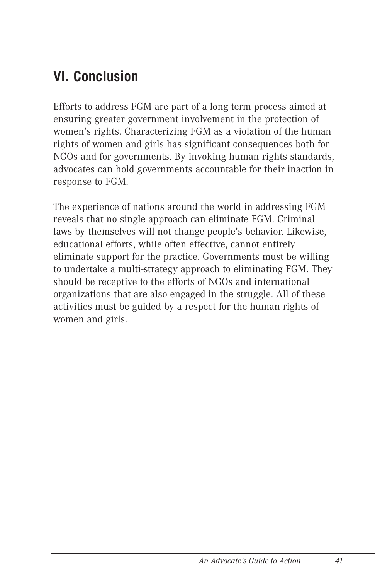# **VI. Conclusion**

Efforts to address FGM are part of a long-term process aimed at ensuring greater government involvement in the protection of women's rights. Characterizing FGM as a violation of the human rights of women and girls has significant consequences both for NGOs and for governments. By invoking human rights standards, advocates can hold governments accountable for their inaction in response to FGM.

The experience of nations around the world in addressing FGM reveals that no single approach can eliminate FGM. Criminal laws by themselves will not change people's behavior. Likewise, educational efforts, while often effective, cannot entirely eliminate support for the practice. Governments must be willing to undertake a multi-strategy approach to eliminating FGM. They should be receptive to the efforts of NGOs and international organizations that are also engaged in the struggle. All of these activities must be guided by a respect for the human rights of women and girls.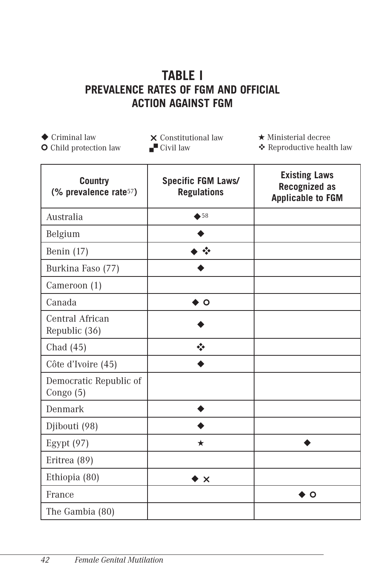# **TABLE I PREVALENCE RATES OF FGM AND OFFICIAL ACTION AGAINST FGM**

 $\triangle$  Criminal law ¢ Child protection law  $\times$  Constitutional law  $\blacksquare$  Civil law

★ Ministerial decree

❖ Reproductive health law

| <b>Country</b><br>(% prevalence rate <sup>57</sup> ) | <b>Specific FGM Laws/</b><br><b>Regulations</b> | <b>Existing Laws</b><br><b>Recognized as</b><br><b>Applicable to FGM</b> |
|------------------------------------------------------|-------------------------------------------------|--------------------------------------------------------------------------|
| Australia                                            | $\triangle$ 58                                  |                                                                          |
| Belgium                                              |                                                 |                                                                          |
| Benin $(17)$                                         | $\frac{1}{2}$                                   |                                                                          |
| Burkina Faso (77)                                    |                                                 |                                                                          |
| Cameroon (1)                                         |                                                 |                                                                          |
| Canada                                               | O                                               |                                                                          |
| Central African<br>Republic (36)                     |                                                 |                                                                          |
| Chad (45)                                            | $\frac{1}{2}$                                   |                                                                          |
| Côte d'Ivoire (45)                                   |                                                 |                                                                          |
| Democratic Republic of<br>Congo (5)                  |                                                 |                                                                          |
| Denmark                                              |                                                 |                                                                          |
| Djibouti (98)                                        |                                                 |                                                                          |
| Egypt $(97)$                                         | ★                                               |                                                                          |
| Eritrea (89)                                         |                                                 |                                                                          |
| Ethiopia (80)                                        | ▶ ×                                             |                                                                          |
| France                                               |                                                 | Ο                                                                        |
| The Gambia (80)                                      |                                                 |                                                                          |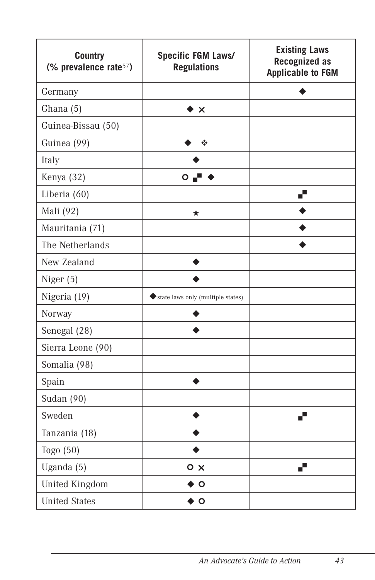| <b>Country</b><br>(% prevalence rate <sup>57</sup> ) | Specific FGM Laws/<br><b>Regulations</b> | <b>Existing Laws</b><br><b>Recognized as</b><br><b>Applicable to FGM</b> |
|------------------------------------------------------|------------------------------------------|--------------------------------------------------------------------------|
| Germany                                              |                                          |                                                                          |
| Ghana (5)                                            | ▸ X                                      |                                                                          |
| Guinea-Bissau (50)                                   |                                          |                                                                          |
| Guinea (99)                                          | ❖                                        |                                                                          |
| Italy                                                |                                          |                                                                          |
| Kenya (32)                                           | $\bullet$ $\bullet$                      |                                                                          |
| Liberia (60)                                         |                                          | ▞                                                                        |
| Mali (92)                                            | ★                                        |                                                                          |
| Mauritania (71)                                      |                                          |                                                                          |
| The Netherlands                                      |                                          |                                                                          |
| New Zealand                                          |                                          |                                                                          |
| Niger (5)                                            |                                          |                                                                          |
| Nigeria (19)                                         | state laws only (multiple states)        |                                                                          |
| Norway                                               |                                          |                                                                          |
| Senegal (28)                                         |                                          |                                                                          |
| Sierra Leone (90)                                    |                                          |                                                                          |
| Somalia (98)                                         |                                          |                                                                          |
| Spain                                                |                                          |                                                                          |
| Sudan (90)                                           |                                          |                                                                          |
| Sweden                                               |                                          | J.                                                                       |
| Tanzania (18)                                        |                                          |                                                                          |
| Togo (50)                                            |                                          |                                                                          |
| Uganda (5)                                           | $\circ$ x                                | ď                                                                        |
| <b>United Kingdom</b>                                | Ο                                        |                                                                          |
| <b>United States</b>                                 | $\circ$                                  |                                                                          |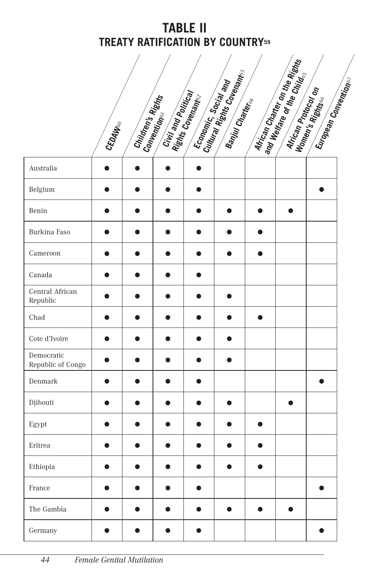# **TABLE II TREATY RATIFICATION BY COUNTRY59**

|       |                   | Civil and Political | Economic, Social and |                                                            | African Protocol on                                                     |                                                      |  |
|-------|-------------------|---------------------|----------------------|------------------------------------------------------------|-------------------------------------------------------------------------|------------------------------------------------------|--|
| CEDAW | Children's Rights | Conventions         | Rights Covenantes    | Cultural Rights Coverantes<br>Banjul Charter <sub>cy</sub> | African Chatter on the Rights<br>and Welfare of the Child <sub>is</sub> | European Conventions<br>Women's Rights <sub>of</sub> |  |
|       |                   |                     |                      |                                                            |                                                                         |                                                      |  |

| Australia                       |           |           |   |           |           |           |           |  |
|---------------------------------|-----------|-----------|---|-----------|-----------|-----------|-----------|--|
| Belgium                         | ●         |           |   | ●         |           |           |           |  |
| Benin                           | $\bullet$ | $\bullet$ | ● | $\bullet$ | $\bullet$ | $\bullet$ | $\bullet$ |  |
| Burkina Faso                    | ●         | ●         | ● | ●         |           | ●         |           |  |
| Cameroon                        |           |           |   | Δ         |           | n s       |           |  |
| Canada                          | D         |           |   | ●         |           |           |           |  |
| Central African<br>Republic     |           | ۰         |   |           |           |           |           |  |
| Chad                            | o         | m.        | A | $\bullet$ | æ         | $\bullet$ |           |  |
| Cote d'Ivoire                   | ●         | ●         | ● | $\bullet$ |           |           |           |  |
| Democratic<br>Republic of Congo |           |           |   | ●         |           |           |           |  |
| Denmark                         |           |           |   |           |           |           |           |  |
| Djibouti                        |           |           |   |           |           |           |           |  |
| Egypt                           |           |           |   | ●         |           |           |           |  |
| Eritrea                         | ●         |           |   | $\bullet$ |           |           |           |  |
| Ethiopia                        | $\bullet$ | n         | Δ | ●         | ●         | ħ         |           |  |
| France                          |           |           |   |           |           |           |           |  |
| The Gambia                      |           |           |   |           |           |           |           |  |
| Germany                         |           |           |   |           |           |           |           |  |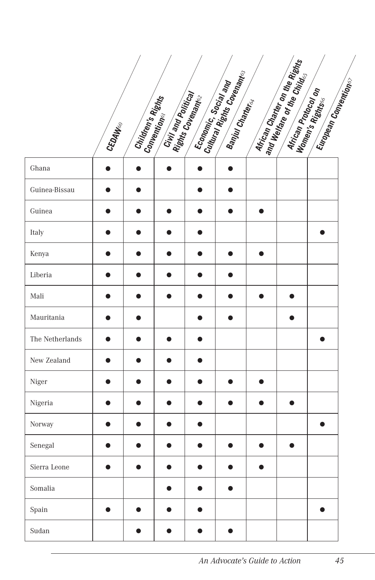|                 | . CEDAW <sub>60</sub> | Children's Rights<br>Conventions, <sup>I</sup> shts | Civil and Political |           |   |           | Airican Chan <sub>ter on the Rights</sub><br><sup>and Welfare</sup> <sup>or the On</sup> the Rights | <b>African Protocol established de la Conception de la Conception de la Conception de la Conception de la Conception de la Conception de la Conception de la Conception de la Conception de la Conception de la Conception de la</b> |  |
|-----------------|-----------------------|-----------------------------------------------------|---------------------|-----------|---|-----------|-----------------------------------------------------------------------------------------------------|--------------------------------------------------------------------------------------------------------------------------------------------------------------------------------------------------------------------------------------|--|
| Ghana           | $\bullet$             | $\bullet$                                           | $\bullet$           |           |   |           |                                                                                                     |                                                                                                                                                                                                                                      |  |
| Guinea-Bissau   |                       |                                                     |                     | n         |   |           |                                                                                                     |                                                                                                                                                                                                                                      |  |
| Guinea          |                       | ●                                                   |                     | ●         | ▲ | $\bullet$ |                                                                                                     |                                                                                                                                                                                                                                      |  |
| Italy           |                       | ●                                                   |                     | ●         |   |           |                                                                                                     | ▲                                                                                                                                                                                                                                    |  |
| Kenya           |                       |                                                     |                     |           |   | $\bullet$ |                                                                                                     |                                                                                                                                                                                                                                      |  |
| Liberia         |                       |                                                     |                     |           |   |           |                                                                                                     |                                                                                                                                                                                                                                      |  |
| Mali            |                       | Δ                                                   |                     | $\bullet$ | O | $\bullet$ | $\bullet$                                                                                           |                                                                                                                                                                                                                                      |  |
| Mauritania      |                       |                                                     |                     | Ω         | ● |           | ●                                                                                                   |                                                                                                                                                                                                                                      |  |
| The Netherlands |                       |                                                     |                     |           |   |           |                                                                                                     |                                                                                                                                                                                                                                      |  |
| New Zealand     |                       |                                                     |                     |           |   |           |                                                                                                     |                                                                                                                                                                                                                                      |  |
| Niger           |                       |                                                     |                     | n         |   |           |                                                                                                     |                                                                                                                                                                                                                                      |  |
| Nigeria         |                       |                                                     |                     |           |   | O         |                                                                                                     |                                                                                                                                                                                                                                      |  |
| Norway          | Δ                     | Δ                                                   | a                   | ●         |   |           |                                                                                                     | ●                                                                                                                                                                                                                                    |  |
| Senegal         |                       |                                                     |                     |           |   | A         | O                                                                                                   |                                                                                                                                                                                                                                      |  |
| Sierra Leone    |                       |                                                     |                     |           |   |           |                                                                                                     |                                                                                                                                                                                                                                      |  |
| Somalia         |                       |                                                     |                     |           |   |           |                                                                                                     |                                                                                                                                                                                                                                      |  |
| Spain           | $\bullet$             |                                                     |                     | O         |   |           |                                                                                                     | $\bullet$                                                                                                                                                                                                                            |  |
| Sudan           |                       |                                                     |                     | Ω         | ● |           |                                                                                                     |                                                                                                                                                                                                                                      |  |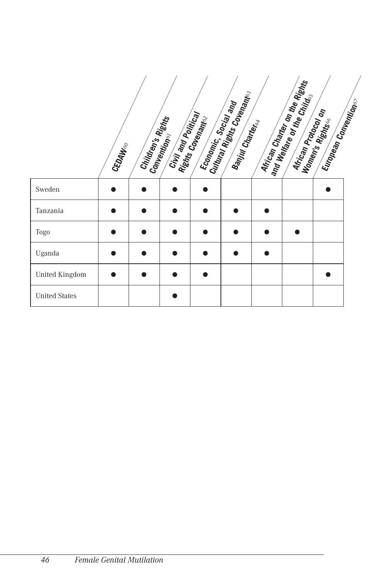|                      | CEDAW <sub>60</sub> | Children's Rights | Civil and Political<br>Convention | Economic, Social and<br>Rights Covenance | Cultural Rights Covenants<br>Banjul Charter <sub>cy</sub> | African Charter on the Rights<br>and Welfare or the Child.<br>African Protocol on | Europe <sub>an Comemtions</sub><br>Women's Rights |  |
|----------------------|---------------------|-------------------|-----------------------------------|------------------------------------------|-----------------------------------------------------------|-----------------------------------------------------------------------------------|---------------------------------------------------|--|
| Sweden               |                     |                   |                                   |                                          |                                                           |                                                                                   |                                                   |  |
| Tanzania             |                     |                   |                                   |                                          |                                                           |                                                                                   |                                                   |  |
| <b>Togo</b>          |                     |                   |                                   |                                          |                                                           |                                                                                   |                                                   |  |
| Uganda               |                     |                   |                                   |                                          |                                                           |                                                                                   |                                                   |  |
| United Kingdom       |                     |                   |                                   |                                          |                                                           |                                                                                   |                                                   |  |
| <b>United States</b> |                     |                   |                                   |                                          |                                                           |                                                                                   |                                                   |  |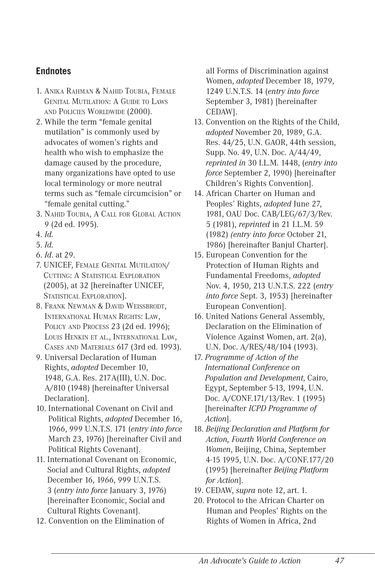#### **Endnotes**

- 1. ANIKA RAHMAN & NAHID TOUBIA, FEMALE GENITAL MUTILATION: A GUIDE TO LAWS AND POLICIES WORLDWIDE (2000).
- 2. While the term "female genital mutilation" is commonly used by advocates of women's rights and health who wish to emphasize the damage caused by the procedure, many organizations have opted to use local terminology or more neutral terms such as "female circumcision" or "female genital cutting."
- 3. NAHID TOUBIA, A CALL FOR GLOBAL ACTION 9 (2d ed. 1995).
- 4. *Id.*
- 5. *Id.*
- 6. *Id*. at 29.
- 7. UNICEF, FEMALE GENITAL MUTILATION/ CUTTING: A STATISTICAL EXPLORATION (2005), at 32 [hereinafter UNICEF, STATISTICAL EXPLORATION].
- 8. FRANK NEWMAN & DAVID WEISSBRODT, INTERNATIONAL HUMAN RIGHTS: LAW, POLICY AND PROCESS 23 (2d ed. 1996); LOUIS HENKIN ET AL., INTERNATIONAL LAW, CASES AND MATERIALS 617 (3rd ed. 1993).
- 9. Universal Declaration of Human Rights, *adopted* December 10, 1948, G.A. Res. 217A(III), U.N. Doc. A/810 (1948) [hereinafter Universal Declaration].
- 10. International Covenant on Civil and Political Rights, *adopted* December 16, 1966, 999 U.N.T.S. 171 (*entry into force*  March 23, 1976) [hereinafter Civil and Political Rights Covenant].
- 11. International Covenant on Economic, Social and Cultural Rights, *adopted*  December 16, 1966, 999 U.N.T.S. 3 (*entry into force* January 3, 1976) [hereinafter Economic, Social and Cultural Rights Covenant].
- 12. Convention on the Elimination of

all Forms of Discrimination against Women, *adopted* December 18, 1979, 1249 U.N.T.S. 14 (*entry into force*  September 3, 1981) [hereinafter CEDAW].

- 13. Convention on the Rights of the Child, *adopted* November 20, 1989, G.A. Res. 44/25, U.N. GAOR, 44th session, Supp. No. 49, U.N. Doc. A/44/49, *reprinted in* 30 I.L.M. 1448, (*entry into force* September 2, 1990) [hereinafter Children's Rights Convention].
- 14. African Charter on Human and Peoples' Rights, *adopted* June 27, 1981, OAU Doc. CAB/LEG/67/3/Rev. 5 (1981), *reprinted* in 21 I.L.M. 59 (1982) *(entry into force* October 21, 1986) [hereinafter Banjul Charter].
- 15. European Convention for the Protection of Human Rights and Fundamental Freedoms, *adopted* Nov. 4, 1950, 213 U.N.T.S. 222 (*entry into force* Sept. 3, 1953) [hereinafter European Convention].
- 16. United Nations General Assembly, Declaration on the Elimination of Violence Against Women, art. 2(a), U.N. Doc. A/RES/48/104 (1993).
- 17. *Programme of Action of the International Conference on Population and Development*, Cairo, Egypt, September 5-13, 1994, U.N. Doc. A/CONF.171/13/Rev. 1 (1995) [hereinafter *ICPD Programme of Action*].
- 18. *Beijing Declaration and Platform for Action, Fourth World Conference on Women*, Beijing, China, September 4-15 1995, U.N. Doc. A/CONF.177/20 (1995) [hereinafter *Beijing Platform for Action*].
- 19. CEDAW, *supra* note 12, art. 1.
- 20. Protocol to the African Charter on Human and Peoples' Rights on the Rights of Women in Africa, 2nd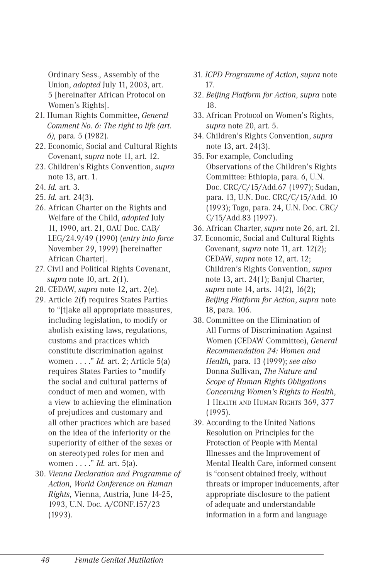Ordinary Sess., Assembly of the Union, *adopted* July 11, 2003, art. 5 [hereinafter African Protocol on Women's Rights].

- 21. Human Rights Committee, *General Comment No. 6: The right to life (art. 6),* para. 5 (1982).
- 22. Economic, Social and Cultural Rights Covenant, *supra* note 11, art. 12.
- 23. Children's Rights Convention, *supra*  note 13, art. 1.
- 24. *Id.* art. 3.
- 25. *Id.* art. 24(3).
- 26. African Charter on the Rights and Welfare of the Child, *adopted* July 11, 1990, art. 21, OAU Doc. CAB/ LEG/24.9/49 (1990) (*entry into force*  November 29, 1999) [hereinafter African Charter].
- 27. Civil and Political Rights Covenant, *supra* note 10, art. 2(1).
- 28. CEDAW, *supra* note 12, art. 2(e).
- 29. Article 2(f) requires States Parties to "[t]ake all appropriate measures, including legislation, to modify or abolish existing laws, regulations, customs and practices which constitute discrimination against women . . . ." *Id.* art. 2; Article 5(a) requires States Parties to "modify the social and cultural patterns of conduct of men and women, with a view to achieving the elimination of prejudices and customary and all other practices which are based on the idea of the inferiority or the superiority of either of the sexes or on stereotyped roles for men and women . . . ." *Id.* art. 5(a).
- 30. *Vienna Declaration and Programme of Action, World Conference on Human Rights*, Vienna, Austria, June 14-25, 1993, U.N. Doc. A/CONF.157/23 (1993).
- 31. *ICPD Programme of Action*, *supra* note 17.
- 32. *Beijing Platform for Action*, *supra* note 18.
- 33. African Protocol on Women's Rights, *supra* note 20, art. 5.
- 34. Children's Rights Convention, *supra*  note 13, art. 24(3).
- 35. For example, Concluding Observations of the Children's Rights Committee: Ethiopia, para. 6, U.N. Doc. CRC/C/15/Add.67 (1997); Sudan, para. 13, U.N. Doc. CRC/C/15/Add. 10 (1993); Togo, para. 24, U.N. Doc. CRC/ C/15/Add.83 (1997).
- 36. African Charter, *supra* note 26, art. 21.
- 37. Economic, Social and Cultural Rights Covenant, *supra* note 11, art. 12(2); CEDAW, *supra* note 12, art. 12; Children's Rights Convention, *supra*  note 13, art. 24(1); Banjul Charter, *supra* note 14, arts. 14(2), 16(2); *Beijing Platform for Action*, *supra* note 18, para. 106.
- 38. Committee on the Elimination of All Forms of Discrimination Against Women (CEDAW Committee), *General Recommendation 24: Women and Health,* para. 13 (1999); *see also* Donna Sullivan, *The Nature and Scope of Human Rights Obligations Concerning Women's Rights to Health*, 1 HEALTH AND HUMAN RIGHTS 369, 377 (1995).
- 39. According to the United Nations Resolution on Principles for the Protection of People with Mental Illnesses and the Improvement of Mental Health Care, informed consent is "consent obtained freely, without threats or improper inducements, after appropriate disclosure to the patient of adequate and understandable information in a form and language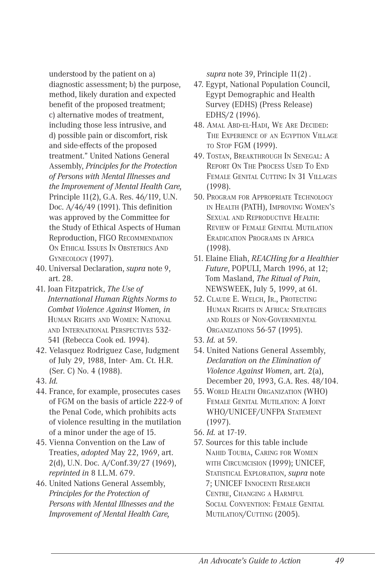understood by the patient on a) diagnostic assessment; b) the purpose, method, likely duration and expected benefit of the proposed treatment; c) alternative modes of treatment, including those less intrusive, and d) possible pain or discomfort, risk and side-effects of the proposed treatment." United Nations General Assembly, *Principles for the Protection of Persons with Mental Illnesses and the Improvement of Mental Health Care,*  Principle 11(2), G.A. Res. 46/119, U.N. Doc. A/46/49 (1991). This definition was approved by the Committee for the Study of Ethical Aspects of Human Reproduction, FIGO RECOMMENDATION ON ETHICAL ISSUES IN OBSTETRICS AND GYNECOLOGY (1997).

- 40. Universal Declaration, *supra* note 9, art. 28.
- 41. Joan Fitzpatrick, *The Use of International Human Rights Norms to Combat Violence Against Women, in*  HUMAN RIGHTS AND WOMEN: NATIONAL AND INTERNATIONAL PERSPECTIVES 532- 541 (Rebecca Cook ed. 1994).
- 42. Velasquez Rodriguez Case, Judgment of July 29, 1988, Inter- Am. Ct. H.R. (Ser. C) No. 4 (1988).
- 43. *Id.*
- 44. France, for example, prosecutes cases of FGM on the basis of article 222-9 of the Penal Code, which prohibits acts of violence resulting in the mutilation of a minor under the age of 15.
- 45. Vienna Convention on the Law of Treaties, *adopted* May 22, 1969, art. 2(d), U.N. Doc. A/Conf.39/27 (1969), *reprinted in* 8 I.L.M. 679.
- 46. United Nations General Assembly, *Principles for the Protection of Persons with Mental Illnesses and the Improvement of Mental Health Care,*

*supra* note 39, Principle 11(2) .

- 47. Egypt, National Population Council, Egypt Demographic and Health Survey (EDHS) (Press Release) EDHS/2 (1996).
- 48. AMAL ABD-EL-HADI, WE ARE DECIDED: THE EXPERIENCE OF AN EGYPTION VILLAGE TO STOP FGM (1999).
- 49. TOSTAN, BREAKTHROUGH IN SENEGAL: A REPORT ON THE PROCESS USED TO END FEMALE GENITAL CUTTING IN 31 VILLAGES (1998).
- 50. PROGRAM FOR APPROPRIATE TECHNOLOGY IN HEALTH (PATH), IMPROVING WOMEN'S SEXUAL AND REPRODUCTIVE HEALTH: REVIEW OF FEMALE GENITAL MUTILATION ERADICATION PROGRAMS IN AFRICA (1998).
- 51. Elaine Eliah, *REACHing for a Healthier Future*, POPULI, March 1996, at 12; Tom Masland, *The Ritual of Pain*, NEWSWEEK, July 5, 1999, at 61.
- 52. CLAUDE E. WELCH, JR., PROTECTING HUMAN RIGHTS IN AFRICA: STRATEGIES AND ROLES OF NON-GOVERNMENTAL ORGANIZATIONS 56-57 (1995).
- 53. *Id.* at 59.
- 54. United Nations General Assembly, *Declaration on the Elimination of Violence Against Women*, art. 2(a), December 20, 1993, G.A. Res. 48/104.
- 55. WORLD HEALTH ORGANIZATION (WHO) FEMALE GENITAL MUTILATION: A JOINT WHO/UNICEF/UNFPA STATEMENT (1997).
- 56. *Id.* at 17-19.
- 57. Sources for this table include NAHID TOUBIA, CARING FOR WOMEN WITH CIRCUMCISION (1999); UNICEF, STATISTICAL EXPLORATION, *supra* note 7; UNICEF INNOCENTI RESEARCH CENTRE, CHANGING A HARMFUL SOCIAL CONVENTION: FEMALE GENITAL MUTILATION/CUTTING (2005).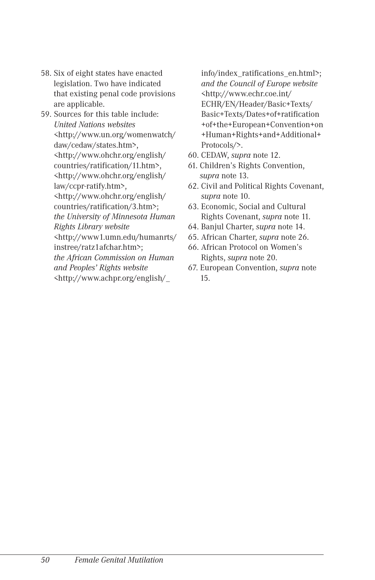- 58. Six of eight states have enacted legislation. Two have indicated that existing penal code provisions are applicable.
- 59. Sources for this table include: *United Nations websites* <http://www.un.org/womenwatch/ daw/cedaw/states.htm>, <http://www.ohchr.org/english/ countries/ratification/11.htm>, <http://www.ohchr.org/english/ law/ccpr-ratify.htm>, <http://www.ohchr.org/english/ countries/ratification/3.htm>; *the University of Minnesota Human Rights Library website* <http://www1.umn.edu/humanrts/ instree/ratz1afchar.htm>;

*the African Commission on Human and Peoples' Rights website*  <http://www.achpr.org/english/\_

- info/index\_ratifications\_en.html>; *and the Council of Europe website*  <http://www.echr.coe.int/ ECHR/EN/Header/Basic+Texts/ Basic+Texts/Dates+of+ratification +of+the+European+Convention+on +Human+Rights+and+Additional+ Protocols/>.
- 60. CEDAW, *supra* note 12.
- 61. Children's Rights Convention, *supra* note 13.
- 62. Civil and Political Rights Covenant, *supra* note 10.
- 63. Economic, Social and Cultural Rights Covenant, *supra* note 11.
- 64. Banjul Charter, *supra* note 14.
- 65. African Charter, *supra* note 26.
- 66. African Protocol on Women's Rights, *supra* note 20.
- 67. European Convention, *supra* note 15.